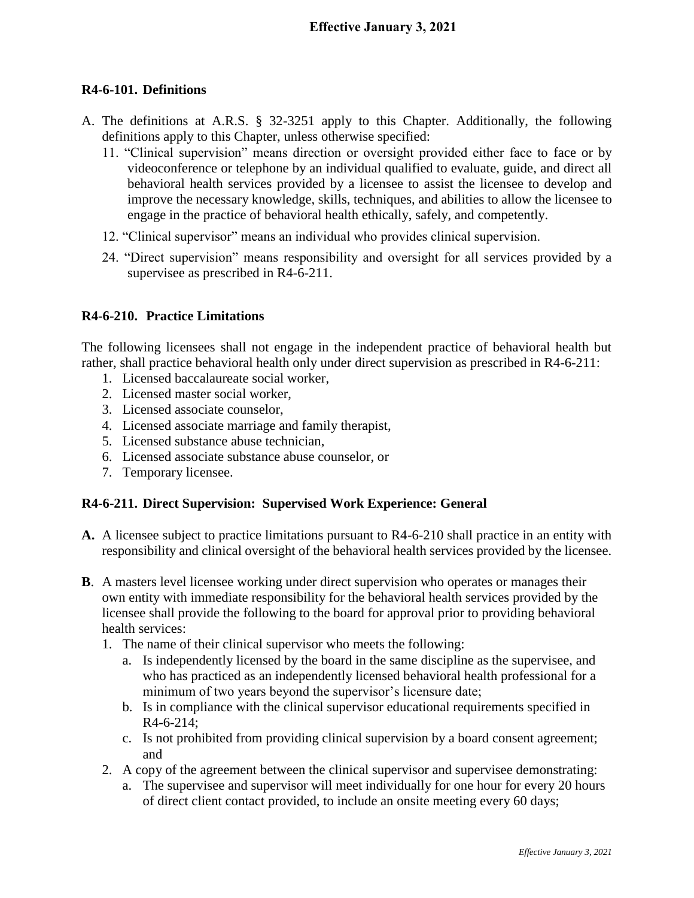## **R4-6-101. Definitions**

- A. The definitions at A.R.S. § 32-3251 apply to this Chapter. Additionally, the following definitions apply to this Chapter, unless otherwise specified:
	- 11. "Clinical supervision" means direction or oversight provided either face to face or by videoconference or telephone by an individual qualified to evaluate, guide, and direct all behavioral health services provided by a licensee to assist the licensee to develop and improve the necessary knowledge, skills, techniques, and abilities to allow the licensee to engage in the practice of behavioral health ethically, safely, and competently.
	- 12. "Clinical supervisor" means an individual who provides clinical supervision.
	- 24. "Direct supervision" means responsibility and oversight for all services provided by a supervisee as prescribed in R4-6-211.

## **R4-6-210. Practice Limitations**

The following licensees shall not engage in the independent practice of behavioral health but rather, shall practice behavioral health only under direct supervision as prescribed in R4-6-211:

- 1. Licensed baccalaureate social worker,
- 2. Licensed master social worker,
- 3. Licensed associate counselor,
- 4. Licensed associate marriage and family therapist,
- 5. Licensed substance abuse technician,
- 6. Licensed associate substance abuse counselor, or
- 7. Temporary licensee.

## **R4-6-211. Direct Supervision: Supervised Work Experience: General**

- **A.** A licensee subject to practice limitations pursuant to R4-6-210 shall practice in an entity with responsibility and clinical oversight of the behavioral health services provided by the licensee.
- **B**. A masters level licensee working under direct supervision who operates or manages their own entity with immediate responsibility for the behavioral health services provided by the licensee shall provide the following to the board for approval prior to providing behavioral health services:
	- 1. The name of their clinical supervisor who meets the following:
		- a. Is independently licensed by the board in the same discipline as the supervisee, and who has practiced as an independently licensed behavioral health professional for a minimum of two years beyond the supervisor's licensure date;
		- b. Is in compliance with the clinical supervisor educational requirements specified in R4-6-214;
		- c. Is not prohibited from providing clinical supervision by a board consent agreement; and
	- 2. A copy of the agreement between the clinical supervisor and supervisee demonstrating:
		- a. The supervisee and supervisor will meet individually for one hour for every 20 hours of direct client contact provided, to include an onsite meeting every 60 days;